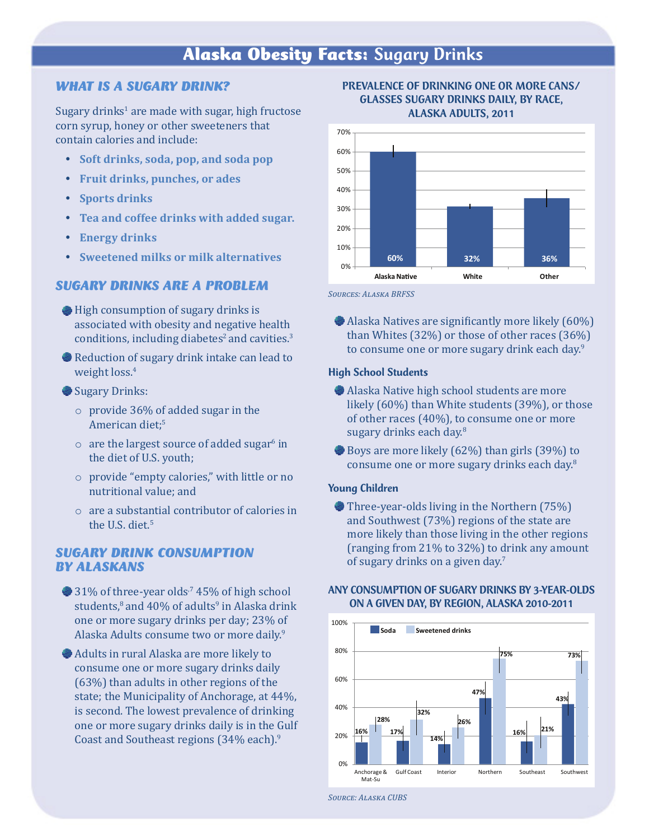# Alaska Obesity Facts: Sugary Drinks

### *WHAT IS A SUGARY DRINK?*

Sugary drinks $^{\text{1}}$  are made with sugar, high fructose corn syrup, honey or other sweeteners that contain calories and include:

- y **Soft drinks, soda, pop, and soda pop**
- y **Fruit drinks, punches, or ades**
- **Sports drinks**
- y **Tea and coffee drinks with added sugar.**
- **Energy drinks**
- y **Sweetened milks or milk alternatives**

#### *SUGARY DRINKS ARE A PROBLEM*

- **High consumption of sugary drinks is** associated with obesity and negative health conditions, including diabetes<sup>2</sup> and cavities. $3$
- Reduction of sugary drink intake can lead to weight loss.<sup>4</sup>
- Sugary Drinks:
	- o provide 36% of added sugar in the American diet;<sup>5</sup>
	- $\circ$  are the largest source of added sugar $^6$  in the diet of U.S. youth;
	- o provide "empty calories," with little or no nutritional value; and
	- o are a substantial contributor of calories in the U.S. diet.<sup>5</sup>

## *SUGARY DRINK CONSUMPTION BY ALASKANS*

- $\bullet$  31% of three-year olds<sup>7</sup> 45% of high school students, $^8$  and  $40\%$  of adults $^9$  in Alaska drink one or more sugary drinks per day; 23% of Alaska Adults consume two or more daily.9
- Adults in rural Alaska are more likely to consume one or more sugary drinks daily (63%) than adults in other regions of the state; the Municipality of Anchorage, at 44%, is second. The lowest prevalence of drinking one or more sugary drinks daily is in the Gulf Coast and Southeast regions (34% each).<sup>9</sup>





*Sources: Alaska BRFSS*

 Alaska Natives are significantly more likely (60%) than Whites (32%) or those of other races (36%) to consume one or more sugary drink each day.<sup>9</sup>

#### High School Students

- Alaska Native high school students are more likely (60%) than White students (39%), or those of other races (40%), to consume one or more sugary drinks each day.<sup>8</sup>
- Boys are more likely (62%) than girls (39%) to consume one or more sugary drinks each day.<sup>8</sup>

#### Young Children

Three-year-olds living in the Northern (75%) and Southwest (73%) regions of the state are more likely than those living in the other regions (ranging from 21% to 32%) to drink any amount of sugary drinks on a given day.<sup>7</sup>

#### ANY CONSUMPTION OF SUGARY DRINKS BY 3-YEAR-OLDS ON A GIVEN DAY, BY REGION, ALASKA 2010-2011



*Source: Alaska CUBS*